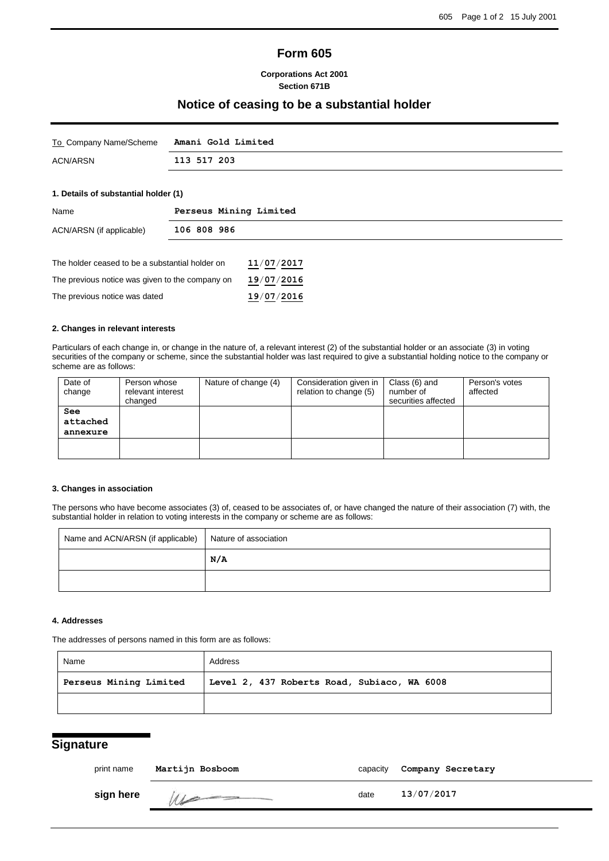# **Form 605**

## **Corporations Act 2001 Section 671B**

## **Notice of ceasing to be a substantial holder**

| To Company Name/Scheme | Amani Gold Limited |
|------------------------|--------------------|
| ACN/ARSN               | 113 517 203        |

## **1. Details of substantial holder (1)**

| Name                                            | Perseus Mining Limited |  |
|-------------------------------------------------|------------------------|--|
| 106 808 986<br>ACN/ARSN (if applicable)         |                        |  |
|                                                 |                        |  |
| The holder ceased to be a substantial holder on | 11/07/2017             |  |
| The previous notice was given to the company on | 19/07/2016             |  |
| The previous notice was dated                   | 19/07/2016             |  |

## **2. Changes in relevant interests**

Particulars of each change in, or change in the nature of, a relevant interest (2) of the substantial holder or an associate (3) in voting securities of the company or scheme, since the substantial holder was last required to give a substantial holding notice to the company or scheme are as follows:

| Date of    | Person whose      | Nature of change (4) | Consideration given in | Class (6) and       | Person's votes |
|------------|-------------------|----------------------|------------------------|---------------------|----------------|
| change     | relevant interest |                      | relation to change (5) | number of           | affected       |
|            | changed           |                      |                        | securities affected |                |
| <b>See</b> |                   |                      |                        |                     |                |
| attached   |                   |                      |                        |                     |                |
| annexure   |                   |                      |                        |                     |                |
|            |                   |                      |                        |                     |                |
|            |                   |                      |                        |                     |                |

## **3. Changes in association**

The persons who have become associates (3) of, ceased to be associates of, or have changed the nature of their association (7) with, the substantial holder in relation to voting interests in the company or scheme are as follows:

| Name and ACN/ARSN (if applicable) | Nature of association |
|-----------------------------------|-----------------------|
|                                   | N/A                   |
|                                   |                       |

#### **4. Addresses**

The addresses of persons named in this form are as follows:

| Name                   | Address                                     |
|------------------------|---------------------------------------------|
| Perseus Mining Limited | Level 2, 437 Roberts Road, Subiaco, WA 6008 |
|                        |                                             |

# **Signature**

| print name | Martijn Bosboom | capacity | Company Secretary |
|------------|-----------------|----------|-------------------|
| sign here  | M               | date     | 13/07/2017        |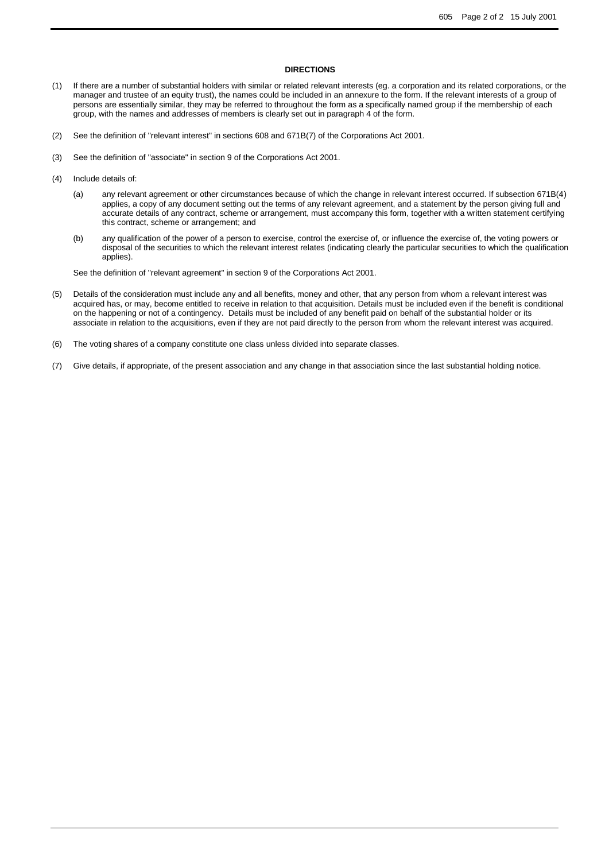#### **DIRECTIONS**

- (1) If there are a number of substantial holders with similar or related relevant interests (eg. a corporation and its related corporations, or the manager and trustee of an equity trust), the names could be included in an annexure to the form. If the relevant interests of a group of persons are essentially similar, they may be referred to throughout the form as a specifically named group if the membership of each group, with the names and addresses of members is clearly set out in paragraph 4 of the form.
- (2) See the definition of "relevant interest" in sections 608 and 671B(7) of the Corporations Act 2001.
- (3) See the definition of "associate" in section 9 of the Corporations Act 2001.
- (4) Include details of:
	- (a) any relevant agreement or other circumstances because of which the change in relevant interest occurred. If subsection 671B(4) applies, a copy of any document setting out the terms of any relevant agreement, and a statement by the person giving full and accurate details of any contract, scheme or arrangement, must accompany this form, together with a written statement certifying this contract, scheme or arrangement; and
	- (b) any qualification of the power of a person to exercise, control the exercise of, or influence the exercise of, the voting powers or disposal of the securities to which the relevant interest relates (indicating clearly the particular securities to which the qualification applies).

See the definition of "relevant agreement" in section 9 of the Corporations Act 2001.

- (5) Details of the consideration must include any and all benefits, money and other, that any person from whom a relevant interest was acquired has, or may, become entitled to receive in relation to that acquisition. Details must be included even if the benefit is conditional on the happening or not of a contingency. Details must be included of any benefit paid on behalf of the substantial holder or its associate in relation to the acquisitions, even if they are not paid directly to the person from whom the relevant interest was acquired.
- (6) The voting shares of a company constitute one class unless divided into separate classes.
- (7) Give details, if appropriate, of the present association and any change in that association since the last substantial holding notice.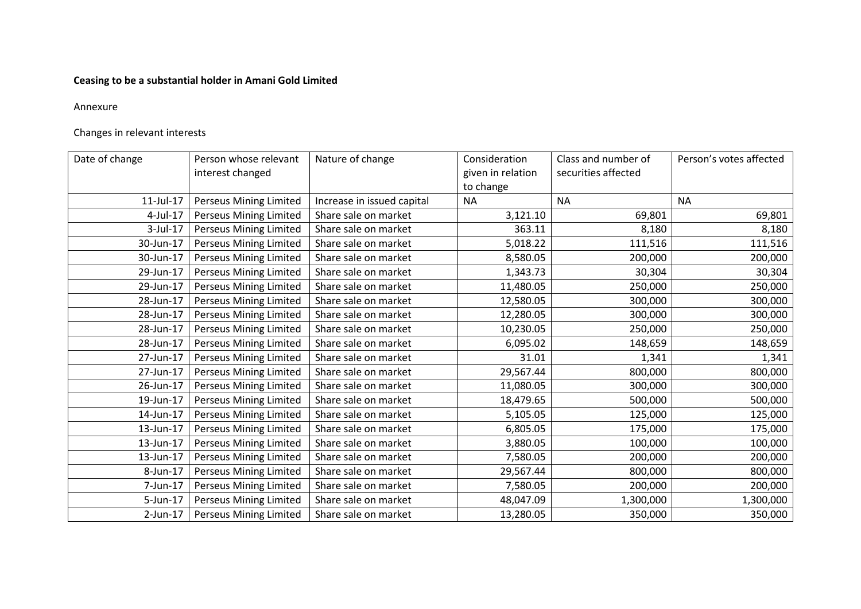# **Ceasing to be a substantial holder in Amani Gold Limited**

## Annexure

# Changes in relevant interests

| Date of change | Person whose relevant<br>interest changed | Nature of change           | Consideration<br>given in relation<br>to change | Class and number of<br>securities affected | Person's votes affected |
|----------------|-------------------------------------------|----------------------------|-------------------------------------------------|--------------------------------------------|-------------------------|
| 11-Jul-17      | <b>Perseus Mining Limited</b>             | Increase in issued capital | <b>NA</b>                                       | <b>NA</b>                                  | <b>NA</b>               |
| 4-Jul-17       | <b>Perseus Mining Limited</b>             | Share sale on market       | 3,121.10                                        | 69,801                                     | 69,801                  |
| 3-Jul-17       | <b>Perseus Mining Limited</b>             | Share sale on market       | 363.11                                          | 8,180                                      | 8,180                   |
| 30-Jun-17      | Perseus Mining Limited                    | Share sale on market       | 5,018.22                                        | 111,516                                    | 111,516                 |
| 30-Jun-17      | <b>Perseus Mining Limited</b>             | Share sale on market       | 8,580.05                                        | 200,000                                    | 200,000                 |
| 29-Jun-17      | <b>Perseus Mining Limited</b>             | Share sale on market       | 1,343.73                                        | 30,304                                     | 30,304                  |
| 29-Jun-17      | <b>Perseus Mining Limited</b>             | Share sale on market       | 11,480.05                                       | 250,000                                    | 250,000                 |
| 28-Jun-17      | <b>Perseus Mining Limited</b>             | Share sale on market       | 12,580.05                                       | 300,000                                    | 300,000                 |
| 28-Jun-17      | <b>Perseus Mining Limited</b>             | Share sale on market       | 12,280.05                                       | 300,000                                    | 300,000                 |
| 28-Jun-17      | <b>Perseus Mining Limited</b>             | Share sale on market       | 10,230.05                                       | 250,000                                    | 250,000                 |
| 28-Jun-17      | <b>Perseus Mining Limited</b>             | Share sale on market       | 6,095.02                                        | 148,659                                    | 148,659                 |
| 27-Jun-17      | Perseus Mining Limited                    | Share sale on market       | 31.01                                           | 1,341                                      | 1,341                   |
| 27-Jun-17      | <b>Perseus Mining Limited</b>             | Share sale on market       | 29,567.44                                       | 800,000                                    | 800,000                 |
| 26-Jun-17      | <b>Perseus Mining Limited</b>             | Share sale on market       | 11,080.05                                       | 300,000                                    | 300,000                 |
| 19-Jun-17      | <b>Perseus Mining Limited</b>             | Share sale on market       | 18,479.65                                       | 500,000                                    | 500,000                 |
| 14-Jun-17      | <b>Perseus Mining Limited</b>             | Share sale on market       | 5,105.05                                        | 125,000                                    | 125,000                 |
| 13-Jun-17      | <b>Perseus Mining Limited</b>             | Share sale on market       | 6,805.05                                        | 175,000                                    | 175,000                 |
| 13-Jun-17      | <b>Perseus Mining Limited</b>             | Share sale on market       | 3,880.05                                        | 100,000                                    | 100,000                 |
| 13-Jun-17      | <b>Perseus Mining Limited</b>             | Share sale on market       | 7,580.05                                        | 200,000                                    | 200,000                 |
| 8-Jun-17       | <b>Perseus Mining Limited</b>             | Share sale on market       | 29,567.44                                       | 800,000                                    | 800,000                 |
| 7-Jun-17       | <b>Perseus Mining Limited</b>             | Share sale on market       | 7,580.05                                        | 200,000                                    | 200,000                 |
| 5-Jun-17       | <b>Perseus Mining Limited</b>             | Share sale on market       | 48,047.09                                       | 1,300,000                                  | 1,300,000               |
| $2$ -Jun-17    | <b>Perseus Mining Limited</b>             | Share sale on market       | 13,280.05                                       | 350,000                                    | 350,000                 |